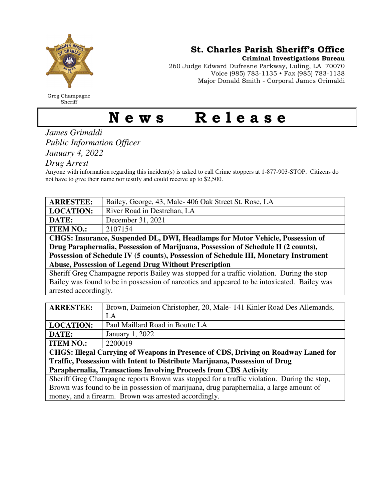

Greg Champagne Sheriff

St. Charles Parish Sheriff's Office

Criminal Investigations Bureau

260 Judge Edward Dufresne Parkway, Luling, LA 70070 Voice (985) 783-1135 • Fax (985) 783-1138 Major Donald Smith - Corporal James Grimaldi

## News Release

## *James Grimaldi Public Information Officer January 4, 2022*

*Drug Arrest* 

Anyone with information regarding this incident(s) is asked to call Crime stoppers at 1-877-903-STOP. Citizens do not have to give their name nor testify and could receive up to \$2,500.

| <b>ARRESTEE:</b>                                                                             | Bailey, George, 43, Male- 406 Oak Street St. Rose, LA                |
|----------------------------------------------------------------------------------------------|----------------------------------------------------------------------|
| <b>LOCATION:</b>                                                                             | River Road in Destrehan, LA                                          |
| DATE:                                                                                        | December 31, 2021                                                    |
| <b>ITEM NO.:</b>                                                                             | 2107154                                                              |
| CHGS: Insurance, Suspended DL, DWI, Headlamps for Motor Vehicle, Possession of               |                                                                      |
| Drug Paraphernalia, Possession of Marijuana, Possession of Schedule II (2 counts),           |                                                                      |
| Possession of Schedule IV (5 counts), Possession of Schedule III, Monetary Instrument        |                                                                      |
| <b>Abuse, Possession of Legend Drug Without Prescription</b>                                 |                                                                      |
| Sheriff Greg Champagne reports Bailey was stopped for a traffic violation. During the stop   |                                                                      |
| Bailey was found to be in possession of narcotics and appeared to be intoxicated. Bailey was |                                                                      |
| arrested accordingly.                                                                        |                                                                      |
|                                                                                              |                                                                      |
| <b>ARRESTEE:</b>                                                                             | Brown, Daimeion Christopher, 20, Male-141 Kinler Road Des Allemands, |
|                                                                                              | LA                                                                   |
| <b>LOCATION:</b>                                                                             | Paul Maillard Road in Boutte LA                                      |
| DATE:                                                                                        | January 1, 2022                                                      |
| <b>ITEM NO.:</b>                                                                             | 2200019                                                              |
| CHGS: Illegal Carrying of Weapons in Presence of CDS, Driving on Roadway Laned for           |                                                                      |
| Traffic, Possession with Intent to Distribute Marijuana, Possession of Drug                  |                                                                      |
| Paraphernalia, Transactions Involving Proceeds from CDS Activity                             |                                                                      |

Sheriff Greg Champagne reports Brown was stopped for a traffic violation. During the stop, Brown was found to be in possession of marijuana, drug paraphernalia, a large amount of money, and a firearm. Brown was arrested accordingly.